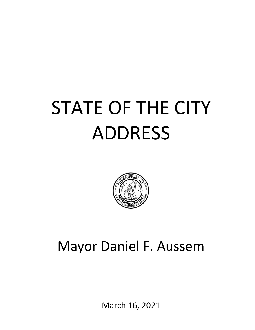### STATE OF THE CITY ADDRESS



### Mayor Daniel F. Aussem

March 16, 2021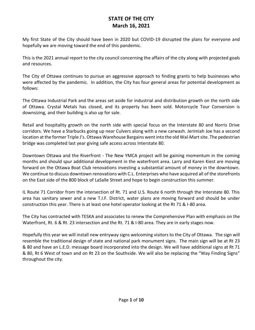My first State of the City should have been in 2020 but COVID-19 disrupted the plans for everyone and hopefully we are moving toward the end of this pandemic.

This is the 2021 annual report to the city council concerning the affairs of the city along with projected goals and resources.

The City of Ottawa continues to pursue an aggressive approach to finding grants to help businesses who were affected by the pandemic. In addition, the City has four general areas for potential development as follows:

The Ottawa Industrial Park and the areas set aside for industrial and distribution growth on the north side of Ottawa. Crystal Metals has closed, and its property has been sold. Motorcycle Tour Conversion is downsizing, and their building is also up for sale.

Retail and hospitality growth on the north side with special focus on the Interstate 80 and Norris Drive corridors. We have a Starbucks going up near Culvers along with a new carwash. Jerimiah Joe has a second location at the former Triple J's. Ottawa Warehouse Bargains went into the old Wal-Mart site. The pedestrian bridge was completed last year giving safe access across Interstate 80.

Downtown Ottawa and the Riverfront - The New YMCA project will be gaining momentum in the coming months and should spur additional development in the waterfront area. Larry and Karen Kiest are moving forward on the Ottawa Boat Club renovations investing a substantial amount of money in the downtown. We continue to discuss downtown renovations with C.L. Enterprises who have acquired all of the storefronts on the East side of the 800 block of LaSalle Street and hope to begin construction this summer.

IL Route 71 Corridor from the intersection of Rt. 71 and U.S. Route 6 north through the Interstate 80. This area has sanitary sewer and a new T.I.F. District, water plans are moving forward and should be under construction this year. There is at least one hotel operator looking at the Rt 71 & I-80 area.

The City has contracted with TESKA and associates to renew the Comprehensive Plan with emphasis on the Waterfront, Rt. 6 & Rt. 23 intersection and the Rt. 71 & I-80 area. They are in early stages now.

Hopefully this year we will install new entryway signs welcoming visitors to the City of Ottawa. The sign will resemble the traditional design of state and national park monument signs. The main sign will be at Rt 23 & 80 and have an L.E.D. message board incorporated into the design. We will have additional signs at Rt 71 & 80, Rt 6 West of town and on Rt 23 on the Southside. We will also be replacing the "Way Finding Signs" throughout the city.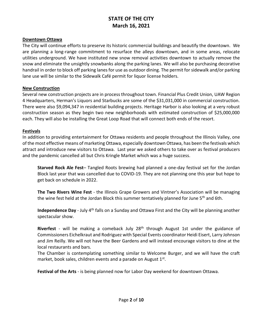#### **Downtown Ottawa**

The City will continue efforts to preserve its historic commercial buildings and beautify the downtown. We are planning a long-range commitment to resurface the alleys downtown, and in some areas, relocate utilities underground. We have instituted new snow removal activities downtown to actually remove the snow and eliminate the unsightly snowbanks along the parking lanes. We will also be purchasing decorative handrail in order to block off parking lanes for use as outdoor dining. The permit for sidewalk and/or parking lane use will be similar to the Sidewalk Café permit for liquor license holders.

#### **New Construction**

Several new construction projects are in process throughout town. Financial Plus Credit Union, UAW Region 4 Headquarters, Herman's Liquors and Starbucks are some of the \$31,031,000 in commercial construction. There were also \$9,094,347 in residential building projects. Heritage Harbor is also looking at a very robust construction season as they begin two new neighborhoods with estimated construction of \$25,000,000 each. They will also be installing the Great Loop Road that will connect both ends of the resort.

#### **Festivals**

In addition to providing entertainment for Ottawa residents and people throughout the Illinois Valley, one of the most effective means of marketing Ottawa, especially downtown Ottawa, has been the festivals which attract and introduce new visitors to Ottawa. Last year we asked others to take over as festival producers and the pandemic cancelled all but Chris Kringle Market which was a huge success.

**Starved Rock Ale Fest**– Tangled Roots brewing had planned a one-day festival set for the Jordan Block last year that was cancelled due to COVID-19. They are not planning one this year but hope to get back on schedule in 2022.

**The Two Rivers Wine Fest** - the Illinois Grape Growers and Vintner's Association will be managing the wine fest held at the Jordan Block this summer tentatively planned for June 5<sup>th</sup> and 6th.

**Independence Day** - July 4<sup>th</sup> falls on a Sunday and Ottawa First and the City will be planning another spectacular show.

**Riverfest** - will be making a comeback July 28th through August 1st under the guidance of Commissioners Eichelkraut and Rodriguez with Special Events coordinator Heidi Eisert, Larry Johnson and Jim Reilly. We will not have the Beer Gardens and will instead encourage visitors to dine at the local restaurants and bars.

The Chamber is contemplating something similar to Welcome Burger, and we will have the craft market, book sales, children events and a parade on August 1st.

**Festival of the Arts** - is being planned now for Labor Day weekend for downtown Ottawa.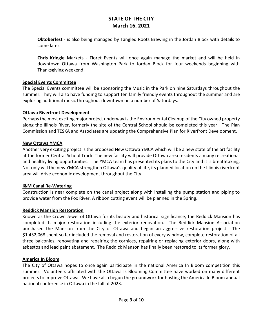**Oktoberfest** - is also being managed by Tangled Roots Brewing in the Jordan Block with details to come later.

**Chris Kringle** Markets - Floret Events will once again manage the market and will be held in downtown Ottawa from Washington Park to Jordan Block for four weekends beginning with Thanksgiving weekend.

#### **Special Events Committee**

The Special Events committee will be sponsoring the Music in the Park on nine Saturdays throughout the summer. They will also have funding to support ten family friendly events throughout the summer and are exploring additional music throughout downtown on a number of Saturdays.

#### **Ottawa Riverfront Development**

Perhaps the most exciting major project underway is the Environmental Cleanup of the City owned property along the Illinois River, formerly the site of the Central School should be completed this year. The Plan Commission and TESKA and Associates are updating the Comprehensive Plan for Riverfront Development.

#### **New Ottawa YMCA**

Another very exciting project is the proposed New Ottawa YMCA which will be a new state of the art facility at the former Central School Track. The new facility will provide Ottawa area residents a many recreational and healthy living opportunities. The YMCA team has presented its plans to the City and it is breathtaking. Not only will the new YMCA strengthen Ottawa's quality of life, its planned location on the Illinois riverfront area will drive economic development throughout the City.

#### **I&M Canal Re-Watering**

Construction is near complete on the canal project along with installing the pump station and piping to provide water from the Fox River. A ribbon cutting event will be planned in the Spring.

#### **Reddick Mansion Restoration**

Known as the Crown Jewel of Ottawa for its beauty and historical significance, the Reddick Mansion has completed its major restoration including the exterior renovation. The Reddick Mansion Association purchased the Mansion from the City of Ottawa and began an aggressive restoration project. The \$1,452,068 spent so far included the removal and restoration of every window, complete restoration of all three balconies, renovating and repairing the cornices, repairing or replacing exterior doors, along with asbestos and lead paint abatement. The Reddick Manson has finally been restored to its former glory.

#### **America In Bloom**

The City of Ottawa hopes to once again participate in the national America In Bloom competition this summer. Volunteers affiliated with the Ottawa Is Blooming Committee have worked on many different projects to improve Ottawa. We have also begun the groundwork for hosting the America In Bloom annual national conference in Ottawa in the fall of 2023.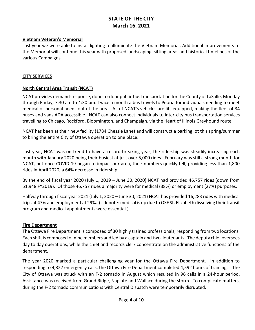#### **Vietnam Veteran's Memorial**

Last year we were able to install lighting to illuminate the Vietnam Memorial. Additional improvements to the Memorial will continue this year with proposed landscaping, sitting areas and historical timelines of the various Campaigns.

#### **CITY SERVICES**

#### **North Central Area Transit (NCAT)**

NCAT provides demand-response, door-to-door public bus transportation for the County of LaSalle, Monday through Friday, 7:30 am to 4:30 pm. Twice a month a bus travels to Peoria for individuals needing to meet medical or personal needs out of the area. All of NCAT's vehicles are lift-equipped, making the fleet of 34 buses and vans ADA accessible. NCAT can also connect individuals to inter-city bus transportation services travelling to Chicago, Rockford, Bloomington, and Champaign, via the Heart of Illinois Greyhound route.

NCAT has been at their new facility (1784 Chessie Lane) and will construct a parking lot this spring/summer to bring the entire City of Ottawa operation to one place.

Last year, NCAT was on trend to have a record-breaking year; the ridership was steadily increasing each month with January 2020 being their busiest at just over 5,000 rides. February was still a strong month for NCAT, but once COVID-19 began to impact our area, their numbers quickly fell, providing less than 1,800 rides in April 2020, a 64% decrease in ridership.

By the end of fiscal year 2020 (July 1, 2019 – June 30, 2020) NCAT had provided 46,757 rides (down from 51,948 FY2019). Of those 46,757 rides a majority were for medical (38%) or employment (27%) purposes.

Halfway through fiscal year 2021 (July 1, 2020 – June 30, 2021) NCAT has provided 16,283 rides with medical trips at 47% and employment at 29%. (sidenote: medical is up due to OSF St. Elizabeth dissolving their transit program and medical appointments were essential.)

#### **Fire Department**

The Ottawa Fire Department is composed of 30 highly trained professionals, responding from two locations. Each shift is composed of nine members and led by a captain and two lieutenants. The deputy chief oversees day to day operations, while the chief and records clerk concentrate on the administrative functions of the department.

The year 2020 marked a particular challenging year for the Ottawa Fire Department. In addition to responding to 4,327 emergency calls, the Ottawa Fire Department completed 4,592 hours of training. The City of Ottawa was struck with an F-2 tornado in August which resulted in 96 calls in a 24-hour period. Assistance was received from Grand Ridge, Naplate and Wallace during the storm. To complicate matters, during the F-2 tornado communications with Central Dispatch were temporarily disrupted.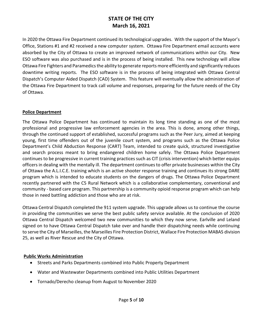In 2020 the Ottawa Fire Department continued its technological upgrades. With the support of the Mayor's Office, Stations #1 and #2 received a new computer system. Ottawa Fire Department email accounts were absorbed by the City of Ottawa to create an improved network of communications within our City. New ESO software was also purchased and is in the process of being installed. This new technology will allow Ottawa Fire Fighters and Paramedics the ability to generate reports more efficiently and significantly reduces downtime writing reports. The ESO software is in the process of being integrated with Ottawa Central Dispatch's Computer Aided Dispatch (CAD) System. This feature will eventually allow the administration of the Ottawa Fire Department to track call volume and responses, preparing for the future needs of the City of Ottawa.

#### **Police Department**

The Ottawa Police Department has continued to maintain its long time standing as one of the most professional and progressive law enforcement agencies in the area. This is done, among other things, through the continued support of established, successful programs such as the Peer Jury, aimed at keeping young, first time offenders out of the juvenile court system, and programs such as the Ottawa Police Department's Child Abduction Response (CART) Team, intended to create quick, structured investigative and search process meant to bring endangered children home safely. The Ottawa Police Department continues to be progressive in current training practices such as CIT (crisis intervention) which better equips officers in dealing with the mentally ill. The department continues to offer private businesses within the City of Ottawa the A.L.I.C.E. training which is an active shooter response training and continues its strong DARE program which is intended to educate students on the dangers of drugs. The Ottawa Police Department recently partnered with the C5 Rural Network which is a collaborative complementary, conventional and community - based care program. This partnership is a community opioid response program which can help those in need battling addiction and those who are at risk.

Ottawa Central Dispatch completed the 911 system upgrade. This upgrade allows us to continue the course in providing the communities we serve the best public safety service available. At the conclusion of 2020 Ottawa Central Dispatch welcomed two new communities to which they now serve. Earlville and Leland signed on to have Ottawa Central Dispatch take over and handle their dispatching needs while continuing to serve the City of Marseilles, the Marseilles Fire Protection District, Wallace Fire Protection MABAS division 25, as well as River Rescue and the City of Ottawa.

#### **Public Works Administration**

- Streets and Parks Departments combined into Public Property Department
- Water and Wastewater Departments combined into Public Utilities Department
- Tornado/Derecho cleanup from August to November 2020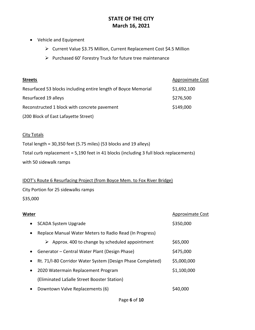- Vehicle and Equipment
	- ➢ Current Value \$3.75 Million, Current Replacement Cost \$4.5 Million
	- ➢ Purchased 60' Forestry Truck for future tree maintenance

| <b>Streets</b>                                                 | <b>Approximate Cost</b> |
|----------------------------------------------------------------|-------------------------|
| Resurfaced 53 blocks including entire length of Boyce Memorial | \$1,692,100             |
| Resurfaced 19 alleys                                           | \$276,500               |
| Reconstructed 1 block with concrete pavement                   | \$149,000               |
| (200 Block of East Lafayette Street)                           |                         |

#### **City Totals**

Total length = 30,350 feet (5.75 miles) (53 blocks and 19 alleys)

Total curb replacement = 5,190 feet in 41 blocks (including 3 full block replacements)

with 50 sidewalk ramps

#### IDOT's Route 6 Resurfacing Project (from Boyce Mem. to Fox River Bridge)

City Portion for 25 sidewalks ramps

\$35,000

| Water                                                       | <b>Approximate Cost</b> |
|-------------------------------------------------------------|-------------------------|
| <b>SCADA System Upgrade</b><br>$\bullet$                    | \$350,000               |
| Replace Manual Water Meters to Radio Read (In Progress)     |                         |
| Approx. 400 to change by scheduled appointment<br>➤         | \$65,000                |
| Generator – Central Water Plant (Design Phase)<br>$\bullet$ | \$475,000               |
| Rt. 71/I-80 Corridor Water System (Design Phase Completed)  | \$5,000,000             |
| 2020 Watermain Replacement Program<br>$\bullet$             | \$1,100,000             |
| (Eliminated LaSalle Street Booster Station)                 |                         |
| Downtown Valve Replacements (6)                             | S40.000                 |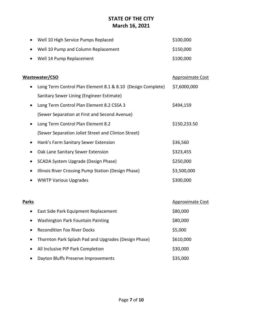|       | Well 10 High Service Pumps Replaced                         | \$100,000               |
|-------|-------------------------------------------------------------|-------------------------|
|       | Well 10 Pump and Column Replacement                         | \$150,000               |
|       | Well 14 Pump Replacement                                    | \$100,000               |
|       |                                                             |                         |
|       | Wastewater/CSO                                              | <b>Approximate Cost</b> |
|       | Long Term Control Plan Element 8.1 & 8.10 (Design Complete) | \$7,6000,000            |
|       | Sanitary Sewer Lining (Engineer Estimate)                   |                         |
|       | Long Term Control Plan Element 8.2 CSSA 3                   | \$494,159               |
|       | (Sewer Separation at First and Second Avenue)               |                         |
|       | Long Term Control Plan Element 8.2                          | \$150,233.50            |
|       | (Sewer Separation Joliet Street and Clinton Street)         |                         |
|       | Hank's Farm Sanitary Sewer Extension                        | \$36,560                |
|       | Oak Lane Sanitary Sewer Extension                           | \$323,455               |
|       | SCADA System Upgrade (Design Phase)                         | \$250,000               |
|       | Illinois River Crossing Pump Station (Design Phase)         | \$3,500,000             |
|       | <b>WWTP Various Upgrades</b>                                | \$300,000               |
|       |                                                             |                         |
| Parks |                                                             | <b>Approximate Cost</b> |
|       | East Side Park Equipment Replacement                        | \$80,000                |
|       | <b>Washington Park Fountain Painting</b>                    | \$80,000                |
|       |                                                             |                         |

• Recondition Fox River Docks \$5,000 • Thornton Park Splash Pad and Upgrades (Design Phase) \$610,000 • All Inclusive PIP Park Completion **\$30,000** • Dayton Bluffs Preserve Improvements **\$35,000**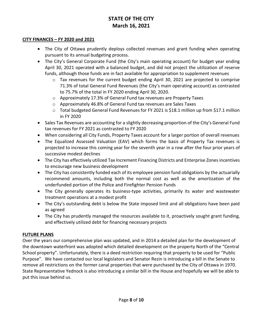#### **CITY FINANCES – FY 2020 and 2021**

- The City of Ottawa prudently deploys collected revenues and grant funding when operating pursuant to its annual budgeting process.
- The City's General Corporate Fund (the City's main operating account) for budget year ending April 30, 2021 operated with a balanced budget, and did not project the utilization of reserve funds, although those funds are in fact available for appropriation to supplement revenues
	- $\circ$  Tax revenues for the current budget ending April 30, 2021 are projected to comprise 71.3% of total General Fund Revenues (the City's main operating account) as contrasted to 75.7% of the total in FY 2020 ending April 30, 2020.
	- o Approximately 17.3% of General Fund tax revenues are Property Taxes
	- o Approximately 46.8% of General Fund tax revenues are Sales Taxes
	- $\circ$  Total budgeted General Fund Revenues for FY 2021 is \$18.1 million up from \$17.1 million in FY 2020
- Sales Tax Revenues are accounting for a slightly decreasing proportion of the City's General Fund tax revenues for FY 2021 as contrasted to FY 2020
- When considering all City Funds, Property Taxes account for a larger portion of overall revenues
- The Equalized Assessed Valuation (EAV) which forms the basis of Property Tax revenues is projected to increase this coming year for the seventh year in a row after the four prior years of successive modest declines
- The City has effectively utilized Tax Increment Financing Districts and Enterprise Zones incentives to encourage new business development
- The City has consistently funded each of its employee pension fund obligations by the actuarially recommend amounts, including both the normal cost as well as the amortization of the underfunded portion of the Police and Firefighter Pension Funds
- The City generally operates its business-type activities, primarily its water and wastewater treatment operations at a modest profit
- The City's outstanding debt is below the State imposed limit and all obligations have been paid as agreed
- The City has prudently managed the resources available to it, proactively sought grant funding, and effectively utilized debt for financing necessary projects

#### **FUTURE PLANS**

Over the years our comprehensive plan was updated, and in 2014 a detailed plan for the development of the downtown waterfront was adopted which detailed development on the property North of the "Central School property". Unfortunately, there is a deed restriction requiring that property to be used for "Public Purpose". We have contacted our local legislators and Senator Rezin is introducing a bill in the Senate to remove all restrictions on the former canal properties that were purchased by the City of Ottawa in 1970. State Representative Yednock is also introducing a similar bill in the House and hopefully we will be able to put this issue behind us.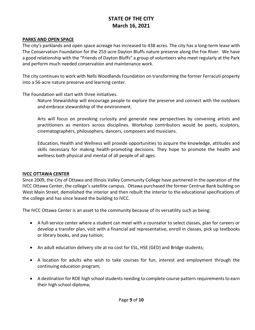#### **PARKS AND OPEN SPACE**

The city's parklands and open space acreage has increased to 438 acres. The city has a long-term lease with The Conservation Foundation for the 253-acre Dayton Bluffs nature preserve along the Fox River. We have a good relationship with the "Friends of Dayton Bluffs" a group of volunteers who meet regularly at the Park and perform much needed conservation and maintenance work.

The city continues to work with Nells Woodlands Foundation on transforming the former Ferracuti property into a 56-acre nature preserve and learning center.

The Foundation will start with three initiatives.

Nature Stewardship will encourage people to explore the preserve and connect with the outdoors and embrace stewardship of the environment.

Arts will focus on provoking curiosity and generate new perspectives by convening artists and practitioners as mentors across disciplines. Workshop contributors would be poets, sculptors, cinematographers, philosophers, dancers, composers and musicians.

Education, Health and Wellness will provide opportunities to acquire the knowledge, attitudes and skills necessary for making health-promoting decisions. They hope to promote the health and wellness both physical and mental of all people of all ages.

#### **IVCC OTTAWA CENTER**

Since 2009, the City of Ottawa and Illinois Valley Community College have partnered in the operation of the IVCC Ottawa Center, the college's satellite campus. Ottawa purchased the former Centrue Bank building on West Main Street, demolished the interior and then rebuilt the interior to the educational specifications of the college and has since leased the building to IVCC.

The IVCC Ottawa Center is an asset to the community because of its versatility such as being:

- A full-service center where a student can meet with a counselor to select classes, plan for careers or develop a transfer plan, visit with a financial aid representative, enroll in classes, pick up textbooks or library books, and pay tuition;
- An adult education delivery site at no cost for ESL, HSE (GED) and Bridge students;
- A location for adults who wish to take courses for fun, interest and employment through the continuing education program;
- A destination for ROE high school students needing to complete course pattern requirements to earn their high school diploma;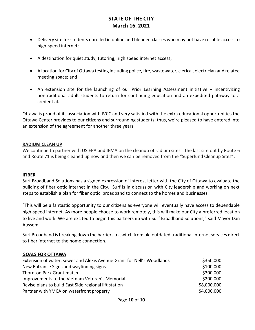- Delivery site for students enrolled in online and blended classes who may not have reliable access to high-speed internet;
- A destination for quiet study, tutoring, high speed internet access;
- A location for City of Ottawa testing including police, fire, wastewater, clerical, electrician and related meeting space; and
- An extension site for the launching of our Prior Learning Assessment initiative incentivizing nontraditional adult students to return for continuing education and an expedited pathway to a credential.

Ottawa is proud of its association with IVCC and very satisfied with the extra educational opportunities the Ottawa Center provides to our citizens and surrounding students; thus, we're pleased to have entered into an extension of the agreement for another three years.

#### **RADIUM CLEAN UP**

We continue to partner with US EPA and IEMA on the cleanup of radium sites. The last site out by Route 6 and Route 71 is being cleaned up now and then we can be removed from the "Superfund Cleanup Sites".

#### **IFIBER**

Surf Broadband Solutions has a signed expression of interest letter with the City of Ottawa to evaluate the building of fiber optic internet in the City. Surf is in discussion with City leadership and working on next steps to establish a plan for fiber optic broadband to connect to the homes and businesses.

"This will be a fantastic opportunity to our citizens as everyone will eventually have access to dependable high-speed internet. As more people choose to work remotely, this will make our City a preferred location to live and work. We are excited to begin this partnership with Surf Broadband Solutions," said Mayor Dan Aussem.

Surf Broadband is breaking down the barriers to switch from old outdated traditional internet services direct to fiber internet to the home connection.

#### **GOALS FOR OTTAWA**

| Extension of water, sewer and Alexis Avenue Grant for Nell's Woodlands | \$350,000   |  |
|------------------------------------------------------------------------|-------------|--|
| New Entrance Signs and wayfinding signs                                | \$100,000   |  |
| Thornton Park Grant match                                              | \$300,000   |  |
| Improvements to the Vietnam Veteran's Memorial                         | \$200,000   |  |
| Revise plans to build East Side regional lift station                  | \$8,000,000 |  |
| Partner with YMCA on waterfront property                               | \$4,000,000 |  |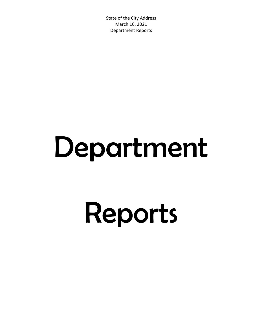# Department

# Reports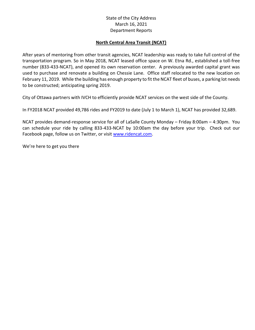#### **North Central Area Transit (NCAT)**

After years of mentoring from other transit agencies, NCAT leadership was ready to take full control of the transportation program. So in May 2018, NCAT leased office space on W. Etna Rd., established a toll-free number (833-433-NCAT), and opened its own reservation center. A previously awarded capital grant was used to purchase and renovate a building on Chessie Lane. Office staff relocated to the new location on February 11, 2019. While the building has enough property to fit the NCAT fleet of buses, a parking lot needs to be constructed; anticipating spring 2019.

City of Ottawa partners with IVCH to efficiently provide NCAT services on the west side of the County.

In FY2018 NCAT provided 49,786 rides and FY2019 to date (July 1 to March 1), NCAT has provided 32,689.

NCAT provides demand-response service for all of LaSalle County Monday – Friday 8:00am – 4:30pm. You can schedule your ride by calling 833-433-NCAT by 10:00am the day before your trip. Check out our Facebook page, follow us on Twitter, or visit [www.ridencat.com.](http://www.ridencat.com/)

We're here to get you there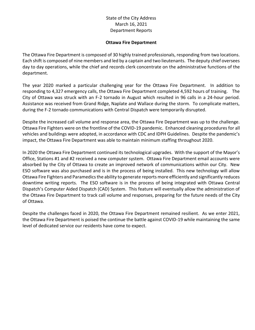#### **Ottawa Fire Department**

The Ottawa Fire Department is composed of 30 highly trained professionals, responding from two locations. Each shift is composed of nine members and led by a captain and two lieutenants. The deputy chief oversees day to day operations, while the chief and records clerk concentrate on the administrative functions of the department.

The year 2020 marked a particular challenging year for the Ottawa Fire Department. In addition to responding to 4,327 emergency calls, the Ottawa Fire Department completed 4,592 hours of training. The City of Ottawa was struck with an F-2 tornado in August which resulted in 96 calls in a 24-hour period. Assistance was received from Grand Ridge, Naplate and Wallace during the storm. To complicate matters, during the F-2 tornado communications with Central Dispatch were temporarily disrupted.

Despite the increased call volume and response area, the Ottawa Fire Department was up to the challenge. Ottawa Fire Fighters were on the frontline of the COVID-19 pandemic. Enhanced cleaning procedures for all vehicles and buildings were adopted, in accordance with CDC and IDPH Guidelines. Despite the pandemic's impact, the Ottawa Fire Department was able to maintain minimum staffing throughout 2020.

In 2020 the Ottawa Fire Department continued its technological upgrades. With the support of the Mayor's Office, Stations #1 and #2 received a new computer system. Ottawa Fire Department email accounts were absorbed by the City of Ottawa to create an improved network of communications within our City. New ESO software was also purchased and is in the process of being installed. This new technology will allow Ottawa Fire Fighters and Paramedics the ability to generate reports more efficiently and significantly reduces downtime writing reports. The ESO software is in the process of being integrated with Ottawa Central Dispatch's Computer Aided Dispatch (CAD) System. This feature will eventually allow the administration of the Ottawa Fire Department to track call volume and responses, preparing for the future needs of the City of Ottawa.

Despite the challenges faced in 2020, the Ottawa Fire Department remained resilient. As we enter 2021, the Ottawa Fire Department is poised the continue the battle against COVID-19 while maintaining the same level of dedicated service our residents have come to expect.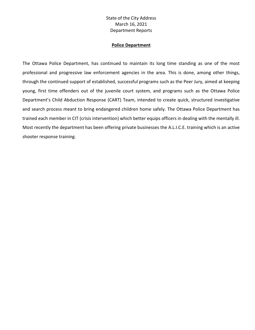#### **Police Department**

The Ottawa Police Department, has continued to maintain its long time standing as one of the most professional and progressive law enforcement agencies in the area. This is done, among other things, through the continued support of established, successful programs such as the Peer Jury, aimed at keeping young, first time offenders out of the juvenile court system, and programs such as the Ottawa Police Department's Child Abduction Response (CART) Team, intended to create quick, structured investigative and search process meant to bring endangered children home safely. The Ottawa Police Department has trained each member in CIT (crisis intervention) which better equips officers in dealing with the mentally ill. Most recently the department has been offering private businesses the A.L.I.C.E. training which is an active shooter response training.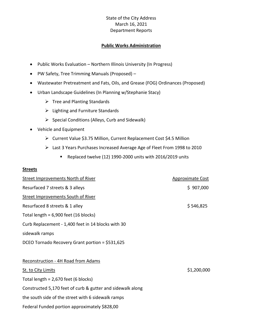#### **Public Works Administration**

- Public Works Evaluation Northern Illinois University (In Progress)
- PW Safety, Tree Trimming Manuals (Proposed) –
- Wastewater Pretreatment and Fats, Oils, and Grease (FOG) Ordinances (Proposed)
- Urban Landscape Guidelines (In Planning w/Stephanie Stacy)
	- $\triangleright$  Tree and Planting Standards
	- ➢ Lighting and Furniture Standards
	- ➢ Special Conditions (Alleys, Curb and Sidewalk)
- Vehicle and Equipment
	- ➢ Current Value \$3.75 Million, Current Replacement Cost \$4.5 Million
	- ➢ Last 3 Years Purchases Increased Average Age of Fleet From 1998 to 2010
		- Replaced twelve (12) 1990-2000 units with 2016/2019 units

#### **Streets**

| <b>Street Improvements North of River</b>                  | <b>Approximate Cost</b> |  |
|------------------------------------------------------------|-------------------------|--|
| Resurfaced 7 streets & 3 alleys                            | \$907,000               |  |
| <b>Street Improvements South of River</b>                  |                         |  |
| Resurfaced 8 streets & 1 alley                             | \$546,825               |  |
| Total length = $6,900$ feet (16 blocks)                    |                         |  |
| Curb Replacement - 1,400 feet in 14 blocks with 30         |                         |  |
| sidewalk ramps                                             |                         |  |
| DCEO Tornado Recovery Grant portion = \$531,625            |                         |  |
|                                                            |                         |  |
| Reconstruction - 4H Road from Adams                        |                         |  |
| St. to City Limits                                         | \$1,200,000             |  |
| Total length = $2,670$ feet (6 blocks)                     |                         |  |
| Constructed 5,170 feet of curb & gutter and sidewalk along |                         |  |
| the south side of the street with 6 sidewalk ramps         |                         |  |
| Federal Funded portion approximately \$828,00              |                         |  |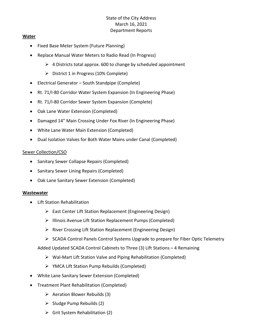#### **Water**

- Fixed Base Meter System (Future Planning)
- Replace Manual Water Meters to Radio Read (In Progress)
	- $\triangleright$  4 Districts total approx. 600 to change by scheduled appointment
	- ➢ District 1 in Progress (10% Complete)
- Electrical Generator South Standpipe (Complete)
- Rt. 71/I-80 Corridor Water System Expansion (In Engineering Phase)
- Rt. 71/I-80 Corridor Sewer System Expansion (Complete)
- Oak Lane Water Extension (Completed)
- Damaged 14" Main Crossing Under Fox River (In Engineering Phase)
- White Lane Water Main Extension (Completed)
- Dual Isolation Valves for Both Water Mains under Canal (Completed)

#### Sewer Collection/CSO

- Sanitary Sewer Collapse Repairs (Completed)
- Sanitary Sewer Lining Repairs (Completed)
- Oak Lane Sanitary Sewer Extension (Completed)

#### **Wastewater**

- Lift Station Rehabilitation
	- ➢ East Center Lift Station Replacement (Engineering Design)
	- ➢ Illinois Avenue Lift Station Replacement Pumps (Completed)
	- ➢ River Crossing Lift Station Replacement (Engineering Design)
	- ➢ SCADA Control Panels Control Systems Upgrade to prepare for Fiber Optic Telemetry
	- Added Updated SCADA Control Cabinets to Three (3) Lift Stations 4 Remaining
		- ➢ Wal-Mart Lift Station Valve and Piping Rehabilitation (Completed)
		- ➢ YMCA Lift Station Pump Rebuilds (Completed)
- White Lane Sanitary Sewer Extension (Completed)
- Treatment Plant Rehabilitation (Completed)
	- $\triangleright$  Aeration Blower Rebuilds (3)
	- $\triangleright$  Sludge Pump Rebuilds (2)
	- $\triangleright$  Grit System Rehabilitation (2)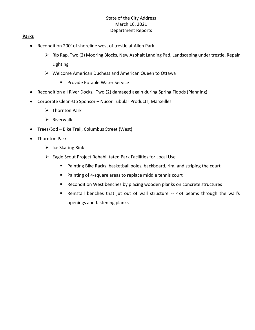#### **Parks**

- Recondition 200' of shoreline west of trestle at Allen Park
	- ➢ Rip Rap, Two (2) Mooring Blocks, New Asphalt Landing Pad, Landscaping under trestle, Repair Lighting
	- ➢ Welcome American Duchess and American Queen to Ottawa
		- Provide Potable Water Service
- Recondition all River Docks. Two (2) damaged again during Spring Floods (Planning)
- Corporate Clean-Up Sponsor Nucor Tubular Products, Marseilles
	- ➢ Thornton Park
	- $\triangleright$  Riverwalk
- Trees/Sod Bike Trail, Columbus Street (West)
- Thornton Park
	- $\triangleright$  Ice Skating Rink
	- ➢ Eagle Scout Project Rehabilitated Park Facilities for Local Use
		- Painting Bike Racks, basketball poles, backboard, rim, and striping the court
		- Painting of 4-square areas to replace middle tennis court
		- Recondition West benches by placing wooden planks on concrete structures
		- Reinstall benches that jut out of wall structure -- 4x4 beams through the wall's openings and fastening planks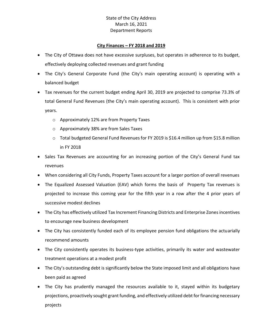#### **City Finances – FY 2018 and 2019**

- The City of Ottawa does not have excessive surpluses, but operates in adherence to its budget, effectively deploying collected revenues and grant funding
- The City's General Corporate Fund (the City's main operating account) is operating with a balanced budget
- Tax revenues for the current budget ending April 30, 2019 are projected to comprise 73.3% of total General Fund Revenues (the City's main operating account). This is consistent with prior years.
	- o Approximately 12% are from Property Taxes
	- o Approximately 38% are from Sales Taxes
	- $\circ$  Total budgeted General Fund Revenues for FY 2019 is \$16.4 million up from \$15.8 million in FY 2018
- Sales Tax Revenues are accounting for an increasing portion of the City's General Fund tax revenues
- When considering all City Funds, Property Taxes account for a larger portion of overall revenues
- The Equalized Assessed Valuation (EAV) which forms the basis of Property Tax revenues is projected to increase this coming year for the fifth year in a row after the 4 prior years of successive modest declines
- The City has effectively utilized Tax Increment Financing Districts and Enterprise Zones incentives to encourage new business development
- The City has consistently funded each of its employee pension fund obligations the actuarially recommend amounts
- The City consistently operates its business-type activities, primarily its water and wastewater treatment operations at a modest profit
- The City's outstanding debt is significantly below the State imposed limit and all obligations have been paid as agreed
- The City has prudently managed the resources available to it, stayed within its budgetary projections, proactively sought grant funding, and effectively utilized debt for financing necessary projects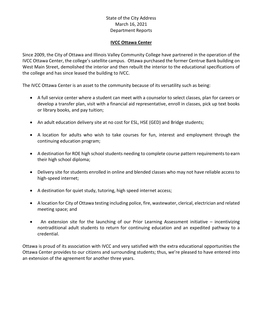#### **IVCC Ottawa Center**

Since 2009, the City of Ottawa and Illinois Valley Community College have partnered in the operation of the IVCC Ottawa Center, the college's satellite campus. Ottawa purchased the former Centrue Bank building on West Main Street, demolished the interior and then rebuilt the interior to the educational specifications of the college and has since leased the building to IVCC.

The IVCC Ottawa Center is an asset to the community because of its versatility such as being:

- A full service center where a student can meet with a counselor to select classes, plan for careers or develop a transfer plan, visit with a financial aid representative, enroll in classes, pick up text books or library books, and pay tuition;
- An adult education delivery site at no cost for ESL, HSE (GED) and Bridge students;
- A location for adults who wish to take courses for fun, interest and employment through the continuing education program;
- A destination for ROE high school students needing to complete course pattern requirements to earn their high school diploma;
- Delivery site for students enrolled in online and blended classes who may not have reliable access to high-speed internet;
- A destination for quiet study, tutoring, high speed internet access;
- A location for City of Ottawa testing including police, fire, wastewater, clerical, electrician and related meeting space; and
- An extension site for the launching of our Prior Learning Assessment initiative incentivizing nontraditional adult students to return for continuing education and an expedited pathway to a credential.

Ottawa is proud of its association with IVCC and very satisfied with the extra educational opportunities the Ottawa Center provides to our citizens and surrounding students; thus, we're pleased to have entered into an extension of the agreement for another three years.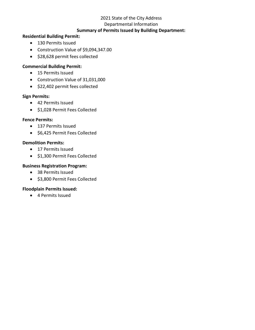#### 2021 State of the City Address

#### Departmental Information

#### **Summary of Permits Issued by Building Department:**

#### **Residential Building Permit:**

- 130 Permits Issued
- Construction Value of \$9,094,347.00
- \$28,628 permit fees collected

#### **Commercial Building Permit:**

- 15 Permits Issued
- Construction Value of 31,031,000
- \$22,402 permit fees collected

#### **Sign Permits:**

- 42 Permits Issued
- \$1,028 Permit Fees Collected

#### **Fence Permits:**

- 137 Permits Issued
- \$6,425 Permit Fees Collected

#### **Demolition Permits:**

- 17 Permits Issued
- \$1,300 Permit Fees Collected

#### **Business Registration Program:**

- 38 Permits Issued
- \$3,800 Permit Fees Collected

#### **Floodplain Permits Issued:**

• 4 Permits Issued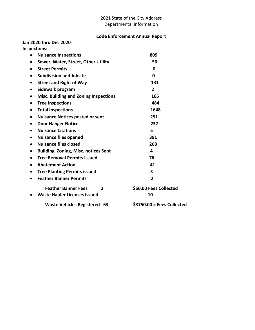#### 2021 State of the City Address Departmental Information

#### **Code Enforcement Annual Report**

**Jan 2020 thru Dec 2020 Inspections:** 

| $\bullet$ | <b>Nuisance Inspections</b>                  | 809                        |
|-----------|----------------------------------------------|----------------------------|
| $\bullet$ | Sewer, Water, Street, Other Utility          | 56                         |
|           | <b>Street Permits</b>                        | $\mathbf 0$                |
| $\bullet$ | <b>Subdivision and Jobsite</b>               | 0                          |
| $\bullet$ | <b>Street and Right of Way</b>               | 131                        |
| $\bullet$ | Sidewalk program                             | $\overline{2}$             |
|           | <b>Misc. Building and Zoning Inspections</b> | 166                        |
| $\bullet$ | <b>Tree Inspections</b>                      | 484                        |
| $\bullet$ | <b>Total Inspections</b>                     | 1648                       |
| $\bullet$ | <b>Nuisance Notices posted or sent</b>       | 291                        |
| $\bullet$ | <b>Door Hanger Notices</b>                   | 237                        |
| $\bullet$ | <b>Nuisance Citations</b>                    | 5                          |
| $\bullet$ | <b>Nuisance files opened</b>                 | 391                        |
| $\bullet$ | <b>Nuisance files closed</b>                 | 268                        |
|           | <b>Building, Zoning, Misc. notices Sent</b>  | 4                          |
|           | <b>Tree Removal Permits Issued</b>           | 76                         |
|           | <b>Abatement Action</b>                      | 41                         |
|           | <b>Tree Planting Permits issued</b>          | 3                          |
|           | <b>Feather Banner Permits</b>                | $\overline{2}$             |
|           | <b>Feather Banner Fees</b><br>$\mathbf{z}$   | \$50.00 Fees Collected     |
|           | <b>Waste Hauler Licenses Issued</b>          | 10                         |
|           | <b>Waste Vehicles Registered 63</b>          | \$3750.00 = Fees Collected |
|           |                                              |                            |